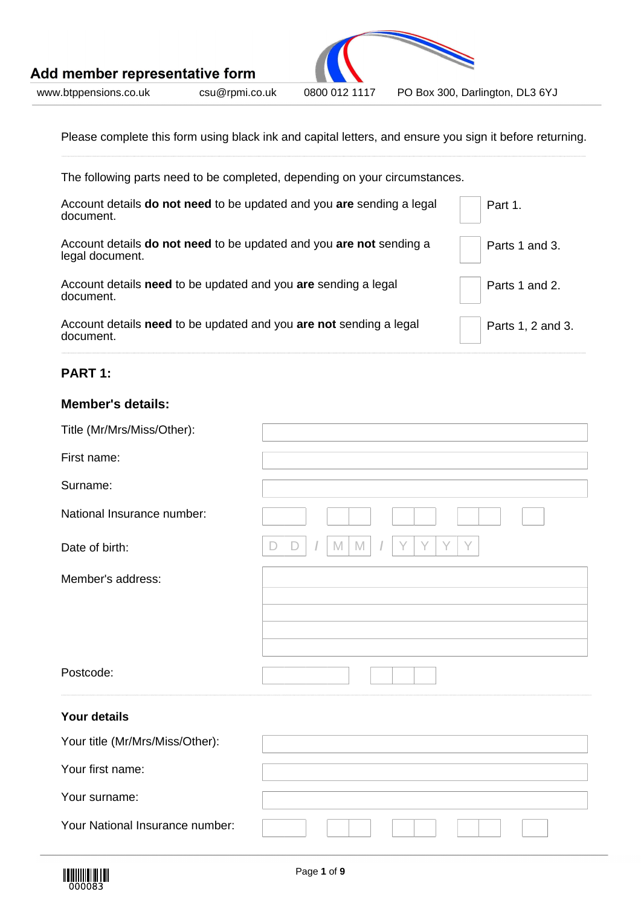

Please complete this form using black ink and capital letters, and ensure you sign it before returning.

| The following parts need to be completed, depending on your circumstances.                       |                   |
|--------------------------------------------------------------------------------------------------|-------------------|
| Account details <b>do not need</b> to be updated and you <b>are</b> sending a legal<br>document. | Part 1.           |
| Account details do not need to be updated and you are not sending a<br>legal document.           | Parts 1 and 3.    |
| Account details need to be updated and you are sending a legal<br>document.                      | Parts 1 and 2.    |
| Account details need to be updated and you are not sending a legal<br>document.                  | Parts 1, 2 and 3. |

## **PART 1:**

## **Member's details:**

| Title (Mr/Mrs/Miss/Other):      |                            |
|---------------------------------|----------------------------|
| First name:                     |                            |
| Surname:                        |                            |
| National Insurance number:      |                            |
| Date of birth:                  | M<br>Υ<br>Y<br>Y<br>M<br>Y |
| Member's address:               |                            |
|                                 |                            |
|                                 |                            |
| Postcode:                       |                            |
| <b>Your details</b>             |                            |
| Your title (Mr/Mrs/Miss/Other): |                            |
| Your first name:                |                            |
| Your surname:                   |                            |
| Your National Insurance number: |                            |

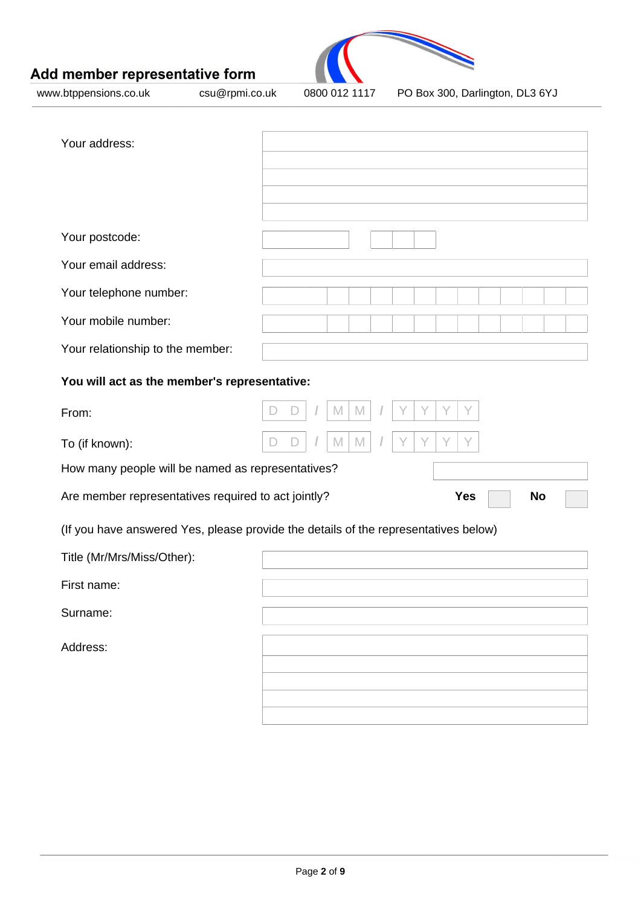

www.btppensions.co.uk csu@rpmi.co.uk 0800 012 1117 PO Box 300, Darlington, DL3 6YJ

| Your address:                                                                       |        |                  |
|-------------------------------------------------------------------------------------|--------|------------------|
|                                                                                     |        |                  |
|                                                                                     |        |                  |
| Your postcode:                                                                      |        |                  |
| Your email address:                                                                 |        |                  |
|                                                                                     |        |                  |
| Your telephone number:<br>Your mobile number:                                       |        |                  |
|                                                                                     |        |                  |
| Your relationship to the member:                                                    |        |                  |
| You will act as the member's representative:                                        |        |                  |
| From:                                                                               | M<br>M | Y<br>Y           |
| To (if known):                                                                      | M      |                  |
| How many people will be named as representatives?                                   |        |                  |
| Are member representatives required to act jointly?                                 |        | <b>Yes</b><br>No |
| (If you have answered Yes, please provide the details of the representatives below) |        |                  |
| Title (Mr/Mrs/Miss/Other):                                                          |        |                  |
| First name:                                                                         |        |                  |
| Surname:                                                                            |        |                  |
| Address:                                                                            |        |                  |
|                                                                                     |        |                  |
|                                                                                     |        |                  |
|                                                                                     |        |                  |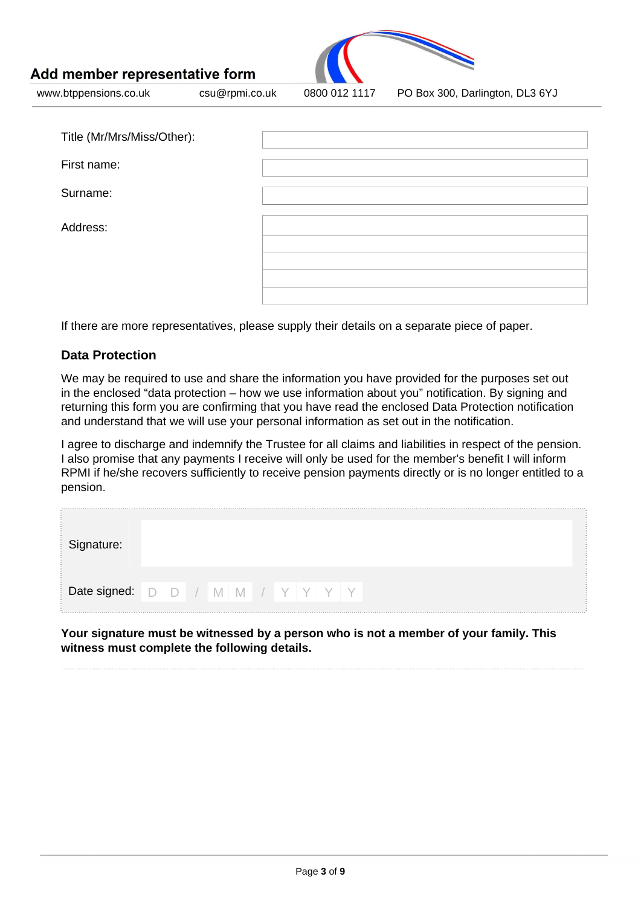

www.btppensions.co.uk csu@rpmi.co.uk 0800 012 1117 PO Box 300, Darlington, DL3 6YJ

| Title (Mr/Mrs/Miss/Other): |  |
|----------------------------|--|
| First name:                |  |
| Surname:                   |  |
| Address:                   |  |
|                            |  |
|                            |  |

If there are more representatives, please supply their details on a separate piece of paper.

### **Data Protection**

We may be required to use and share the information you have provided for the purposes set out in the enclosed "data protection – how we use information about you" notification. By signing and returning this form you are confirming that you have read the enclosed Data Protection notification and understand that we will use your personal information as set out in the notification.

I agree to discharge and indemnify the Trustee for all claims and liabilities in respect of the pension. I also promise that any payments I receive will only be used for the member's benefit I will inform RPMI if he/she recovers sufficiently to receive pension payments directly or is no longer entitled to a pension.

**Your signature must be witnessed by a person who is not a member of your family. This witness must complete the following details.**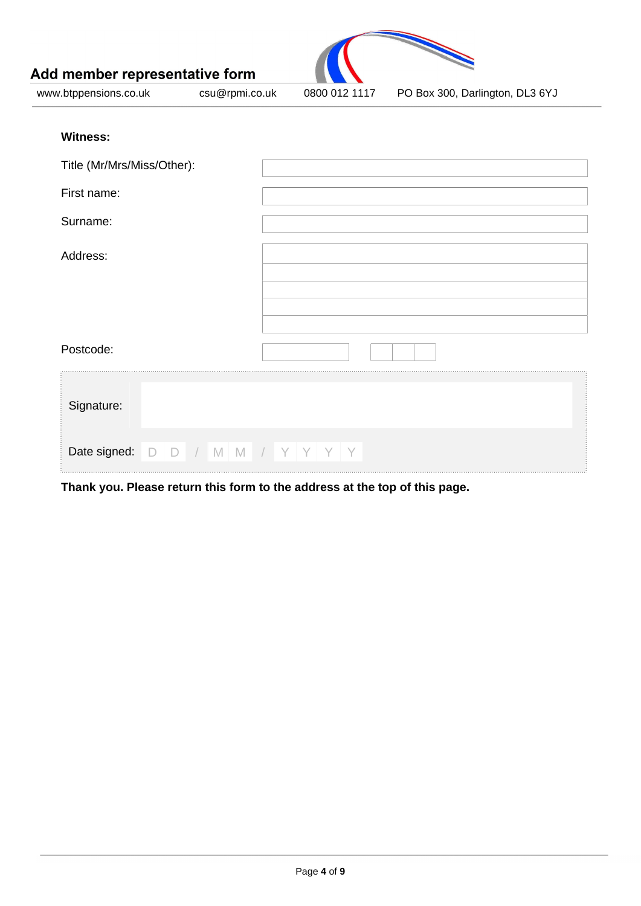

www.btppensions.co.uk csu@rpmi.co.uk 0800 012 1117 PO Box 300, Darlington, DL3 6YJ

### **Witness:**

| Title (Mr/Mrs/Miss/Other): |                                        |
|----------------------------|----------------------------------------|
| First name:                |                                        |
| Surname:                   |                                        |
| Address:                   |                                        |
| Postcode:                  |                                        |
| Signature:                 |                                        |
|                            | Date signed: $D$ $D$ / M M / Y Y Y Y Y |

**Thank you. Please return this form to the address at the top of this page.**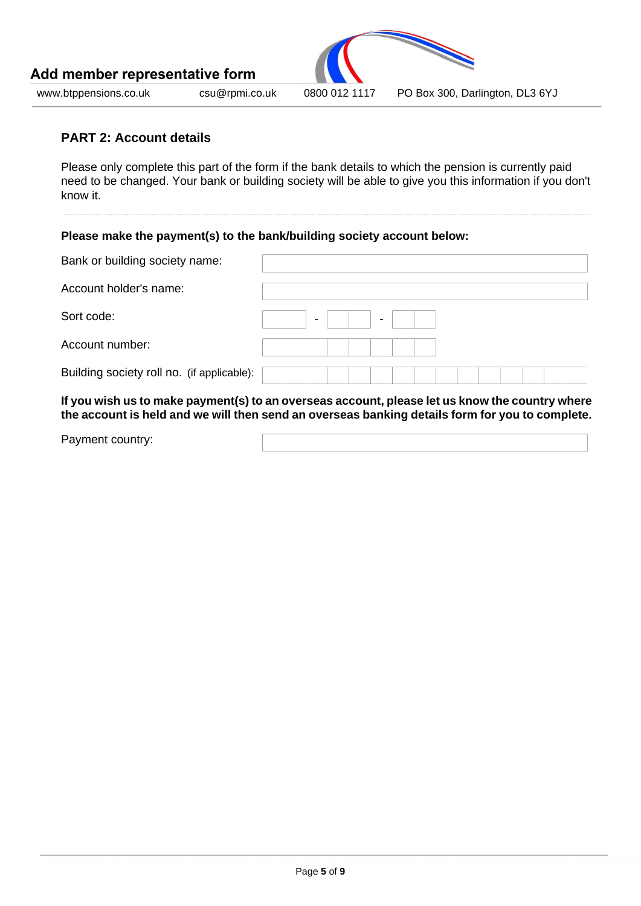

#### **PART 2: Account details**

Please only complete this part of the form if the bank details to which the pension is currently paid need to be changed. Your bank or building society will be able to give you this information if you don't know it.

## **Please make the payment(s) to the bank/building society account below:**

| Bank or building society name:             |                                  |
|--------------------------------------------|----------------------------------|
| Account holder's name:                     |                                  |
| Sort code:                                 | $\blacksquare$<br>$\blacksquare$ |
| Account number:                            |                                  |
| Building society roll no. (if applicable): |                                  |

**If you wish us to make payment(s) to an overseas account, please let us know the country where the account is held and we will then send an overseas banking details form for you to complete.**

Payment country: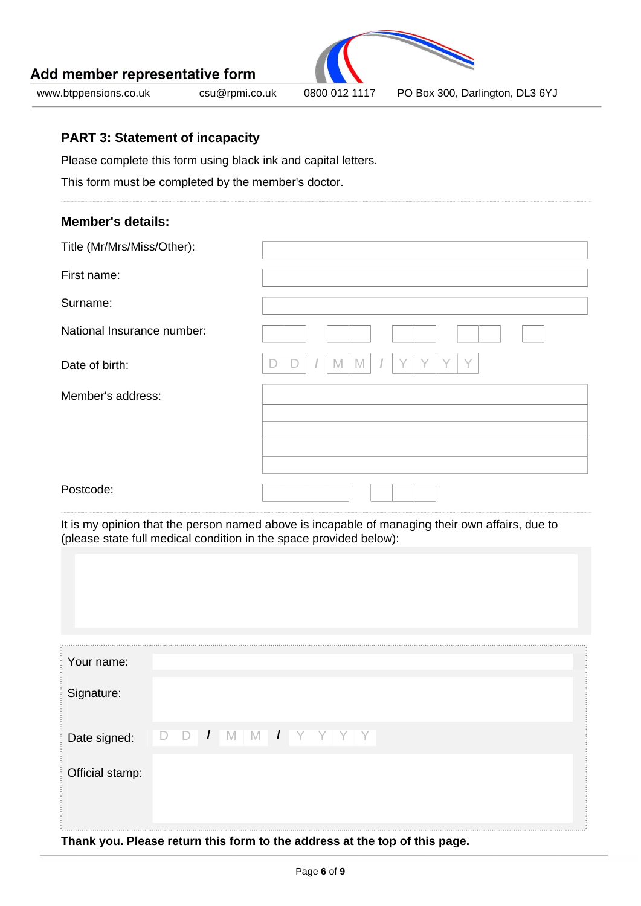

www.btppensions.co.uk csu@rpmi.co.uk 0800 012 1117 PO Box 300, Darlington, DL3 6YJ

### **PART 3: Statement of incapacity**

Please complete this form using black ink and capital letters.

This form must be completed by the member's doctor.

#### **Member's details:**

| Title (Mr/Mrs/Miss/Other): |                  |
|----------------------------|------------------|
| First name:                |                  |
| Surname:                   |                  |
| National Insurance number: |                  |
| Date of birth:             | M<br>$\vee$<br>M |
| Member's address:          |                  |
|                            |                  |
|                            |                  |
| Postcode:                  |                  |

It is my opinion that the person named above is incapable of managing their own affairs, due to (please state full medical condition in the space provided below):

| Your name:      |                                                                            |  |
|-----------------|----------------------------------------------------------------------------|--|
| Signature:      |                                                                            |  |
| Date signed:    | $\overline{1}$<br>- M<br>$\overline{1}$<br>- M<br>IJ<br>$\vert$ )          |  |
| Official stamp: |                                                                            |  |
|                 |                                                                            |  |
|                 | Thank you. Please return this form to the address at the top of this page. |  |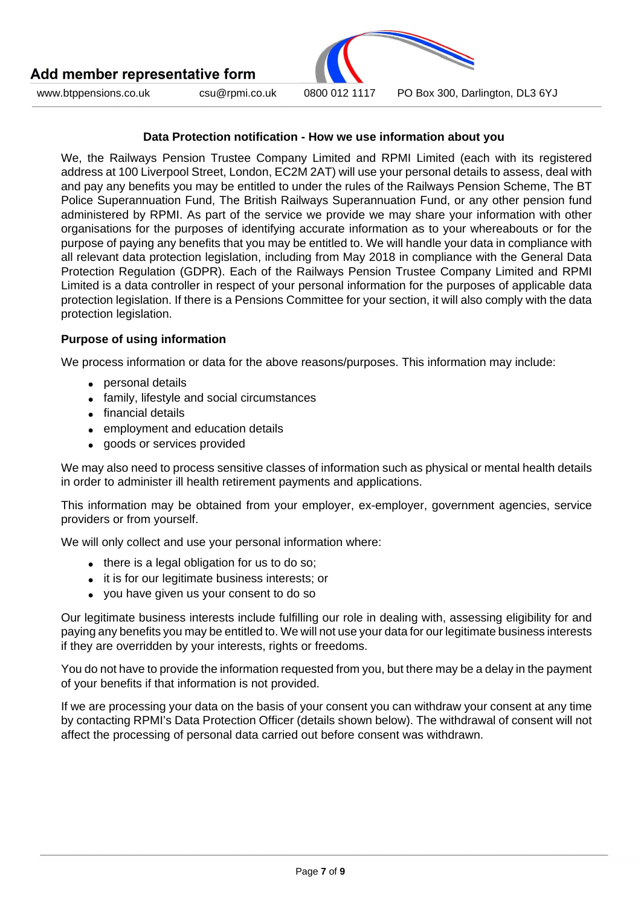

www.btppensions.co.uk csu@rpmi.co.uk 0800 012 1117 PO Box 300, Darlington, DL3 6YJ

#### **Data Protection notification - How we use information about you**

We, the Railways Pension Trustee Company Limited and RPMI Limited (each with its registered address at 100 Liverpool Street, London, EC2M 2AT) will use your personal details to assess, deal with and pay any benefits you may be entitled to under the rules of the Railways Pension Scheme, The BT Police Superannuation Fund, The British Railways Superannuation Fund, or any other pension fund administered by RPMI. As part of the service we provide we may share your information with other organisations for the purposes of identifying accurate information as to your whereabouts or for the purpose of paying any benefits that you may be entitled to. We will handle your data in compliance with all relevant data protection legislation, including from May 2018 in compliance with the General Data Protection Regulation (GDPR). Each of the Railways Pension Trustee Company Limited and RPMI Limited is a data controller in respect of your personal information for the purposes of applicable data protection legislation. If there is a Pensions Committee for your section, it will also comply with the data protection legislation.

#### **Purpose of using information**

We process information or data for the above reasons/purposes. This information may include:

- personal details
- family, lifestyle and social circumstances
- financial details
- employment and education details
- goods or services provided

We may also need to process sensitive classes of information such as physical or mental health details in order to administer ill health retirement payments and applications.

This information may be obtained from your employer, ex-employer, government agencies, service providers or from yourself.

We will only collect and use your personal information where:

- there is a legal obligation for us to do so;
- it is for our legitimate business interests; or
- you have given us your consent to do so

Our legitimate business interests include fulfilling our role in dealing with, assessing eligibility for and paying any benefits you may be entitled to. We will not use your data for our legitimate business interests if they are overridden by your interests, rights or freedoms.

You do not have to provide the information requested from you, but there may be a delay in the payment of your benefits if that information is not provided.

If we are processing your data on the basis of your consent you can withdraw your consent at any time by contacting RPMI's Data Protection Officer (details shown below). The withdrawal of consent will not affect the processing of personal data carried out before consent was withdrawn.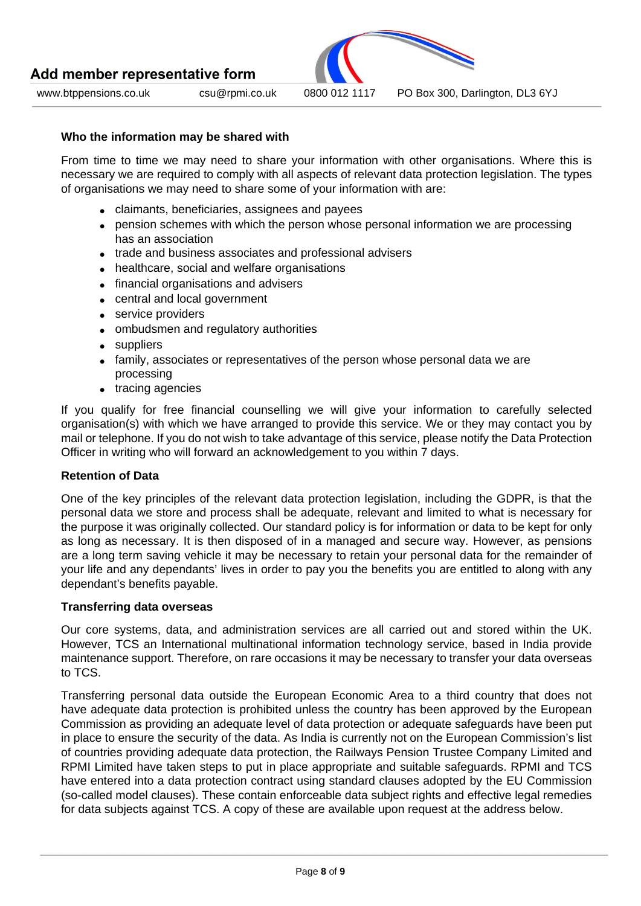



www.btppensions.co.uk csu@rpmi.co.uk 0800 012 1117 PO Box 300, Darlington, DL3 6YJ

#### **Who the information may be shared with**

From time to time we may need to share your information with other organisations. Where this is necessary we are required to comply with all aspects of relevant data protection legislation. The types of organisations we may need to share some of your information with are:

- claimants, beneficiaries, assignees and payees
- pension schemes with which the person whose personal information we are processing has an association
- trade and business associates and professional advisers
- healthcare, social and welfare organisations
- financial organisations and advisers
- central and local government
- service providers
- ombudsmen and regulatory authorities
- suppliers
- family, associates or representatives of the person whose personal data we are processing
- tracing agencies

If you qualify for free financial counselling we will give your information to carefully selected organisation(s) with which we have arranged to provide this service. We or they may contact you by mail or telephone. If you do not wish to take advantage of this service, please notify the Data Protection Officer in writing who will forward an acknowledgement to you within 7 days.

#### **Retention of Data**

One of the key principles of the relevant data protection legislation, including the GDPR, is that the personal data we store and process shall be adequate, relevant and limited to what is necessary for the purpose it was originally collected. Our standard policy is for information or data to be kept for only as long as necessary. It is then disposed of in a managed and secure way. However, as pensions are a long term saving vehicle it may be necessary to retain your personal data for the remainder of your life and any dependants' lives in order to pay you the benefits you are entitled to along with any dependant's benefits payable.

#### **Transferring data overseas**

Our core systems, data, and administration services are all carried out and stored within the UK. However, TCS an International multinational information technology service, based in India provide maintenance support. Therefore, on rare occasions it may be necessary to transfer your data overseas to TCS.

Transferring personal data outside the European Economic Area to a third country that does not have adequate data protection is prohibited unless the country has been approved by the European Commission as providing an adequate level of data protection or adequate safeguards have been put in place to ensure the security of the data. As India is currently not on the European Commission's list of countries providing adequate data protection, the Railways Pension Trustee Company Limited and RPMI Limited have taken steps to put in place appropriate and suitable safeguards. RPMI and TCS have entered into a data protection contract using standard clauses adopted by the EU Commission (so-called model clauses). These contain enforceable data subject rights and effective legal remedies for data subjects against TCS. A copy of these are available upon request at the address below.